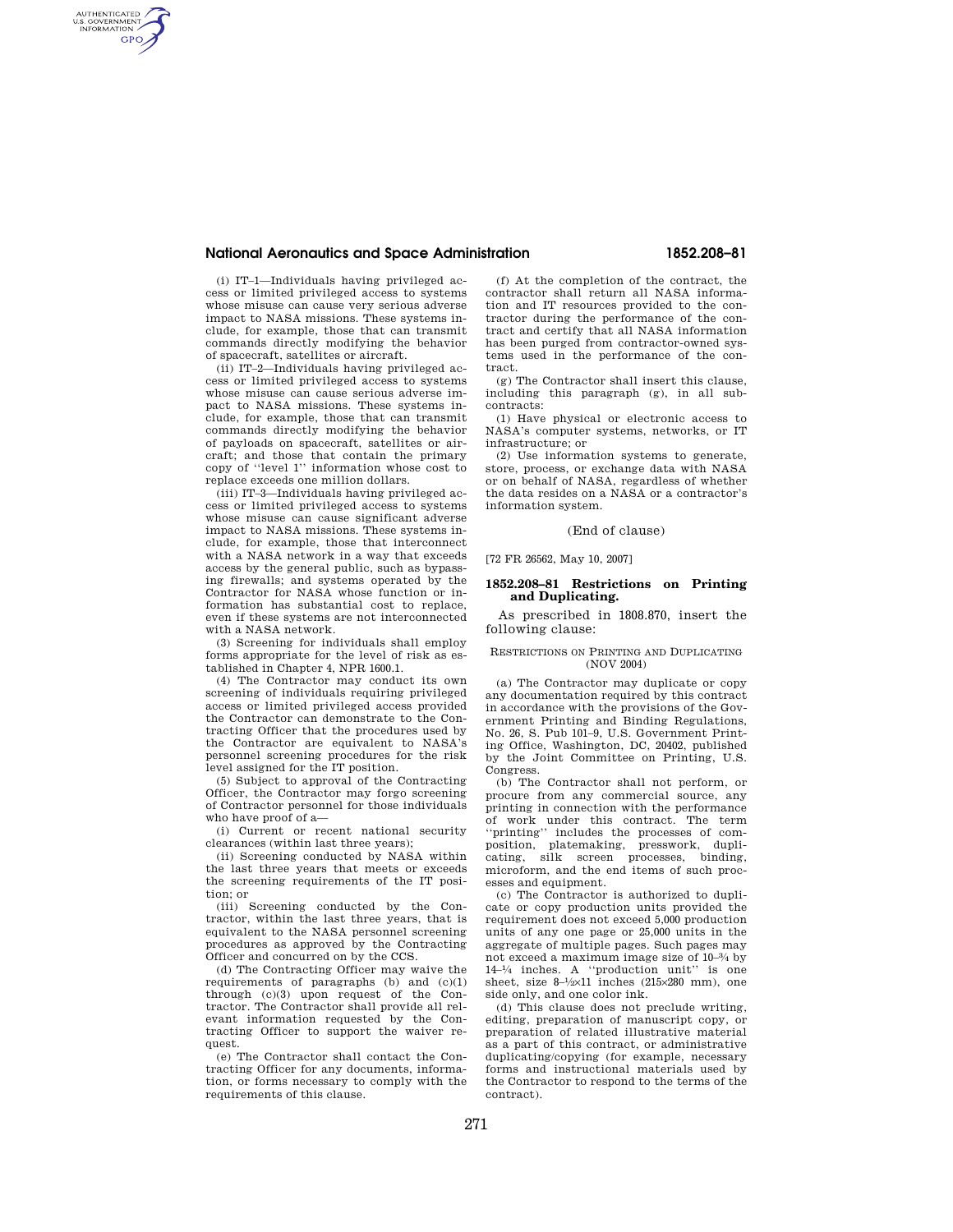# **National Aeronautics and Space Administration 1852.208–81**

(i) IT–1—Individuals having privileged access or limited privileged access to systems whose misuse can cause very serious adverse impact to NASA missions. These systems include, for example, those that can transmit commands directly modifying the behavior of spacecraft, satellites or aircraft.

AUTHENTICATED<br>U.S. GOVERNMENT<br>INFORMATION **GPO** 

> (ii) IT–2—Individuals having privileged access or limited privileged access to systems whose misuse can cause serious adverse impact to NASA missions. These systems include, for example, those that can transmit commands directly modifying the behavior of payloads on spacecraft, satellites or aircraft; and those that contain the primary copy of ''level 1'' information whose cost to replace exceeds one million dollars.

> (iii) IT–3—Individuals having privileged access or limited privileged access to systems whose misuse can cause significant adverse impact to NASA missions. These systems include, for example, those that interconnect with a NASA network in a way that exceeds access by the general public, such as bypassing firewalls; and systems operated by the Contractor for NASA whose function or information has substantial cost to replace, even if these systems are not interconnected with a NASA network.

> (3) Screening for individuals shall employ forms appropriate for the level of risk as established in Chapter 4, NPR 1600.1.

> (4) The Contractor may conduct its own screening of individuals requiring privileged access or limited privileged access provided the Contractor can demonstrate to the Contracting Officer that the procedures used by the Contractor are equivalent to NASA's personnel screening procedures for the risk level assigned for the IT position.

> (5) Subject to approval of the Contracting Officer, the Contractor may forgo screening of Contractor personnel for those individuals who have proof of a—

> (i) Current or recent national security clearances (within last three years);

> (ii) Screening conducted by NASA within the last three years that meets or exceeds the screening requirements of the IT position; or

> (iii) Screening conducted by the Contractor, within the last three years, that is equivalent to the NASA personnel screening procedures as approved by the Contracting Officer and concurred on by the CCS.

> (d) The Contracting Officer may waive the requirements of paragraphs  $(b)$  and  $(c)(1)$ through (c)(3) upon request of the Contractor. The Contractor shall provide all relevant information requested by the Contracting Officer to support the waiver request.

(e) The Contractor shall contact the Contracting Officer for any documents, information, or forms necessary to comply with the requirements of this clause.

(f) At the completion of the contract, the contractor shall return all NASA information and IT resources provided to the contractor during the performance of the contract and certify that all NASA information has been purged from contractor-owned systems used in the performance of the contract.

(g) The Contractor shall insert this clause, including this paragraph (g), in all subcontracts:

(1) Have physical or electronic access to NASA's computer systems, networks, or IT infrastructure; or

(2) Use information systems to generate, store, process, or exchange data with NASA or on behalf of NASA, regardless of whether the data resides on a NASA or a contractor's information system.

#### (End of clause)

[72 FR 26562, May 10, 2007]

# **1852.208–81 Restrictions on Printing and Duplicating.**

As prescribed in 1808.870, insert the following clause:

RESTRICTIONS ON PRINTING AND DUPLICATING (NOV 2004)

(a) The Contractor may duplicate or copy any documentation required by this contract in accordance with the provisions of the Government Printing and Binding Regulations, No. 26, S. Pub 101–9, U.S. Government Printing Office, Washington, DC, 20402, published by the Joint Committee on Printing, U.S. Congress.

(b) The Contractor shall not perform, or procure from any commercial source, any printing in connection with the performance of work under this contract. The term ''printing'' includes the processes of composition, platemaking, presswork, duplicating, silk screen processes, binding, microform, and the end items of such processes and equipment.

(c) The Contractor is authorized to duplicate or copy production units provided the requirement does not exceed 5,000 production units of any one page or 25,000 units in the aggregate of multiple pages. Such pages may not exceed a maximum image size of 10–3⁄4 by 14–1⁄4 inches. A ''production unit'' is one sheet, size  $8-\frac{1}{2}\times11$  inches (215×280 mm), one side only, and one color ink.

(d) This clause does not preclude writing, editing, preparation of manuscript copy, or preparation of related illustrative material as a part of this contract, or administrative duplicating/copying (for example, necessary forms and instructional materials used by the Contractor to respond to the terms of the contract).